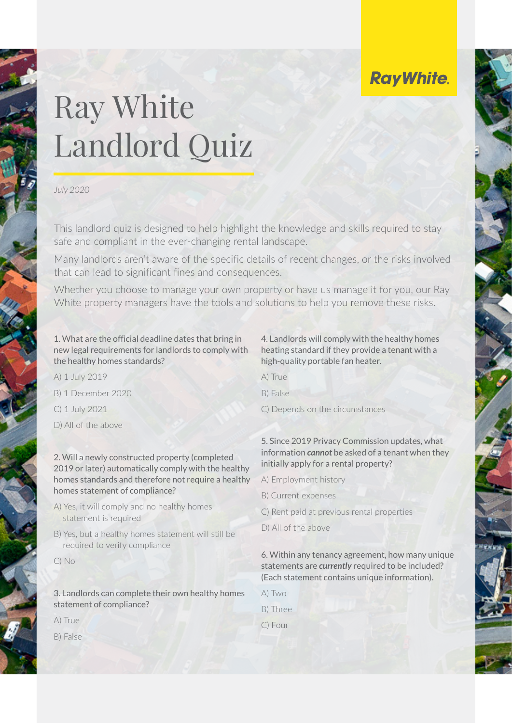## **RayWhite.**

## Ray White Landlord Quiz

*July 2020*

This landlord quiz is designed to help highlight the knowledge and skills required to stay safe and compliant in the ever-changing rental landscape.

Many landlords aren't aware of the specific details of recent changes, or the risks involved that can lead to significant fines and consequences.

Whether you choose to manage your own property or have us manage it for you, our Ray White property managers have the tools and solutions to help you remove these risks.

1. What are the official deadline dates that bring in new legal requirements for landlords to comply with the healthy homes standards?

A) 1 July 2019 B) 1 December 2020 C) 1 July 2021 D) All of the above

2. Will a newly constructed property (completed 2019 or later) automatically comply with the healthy homes standards and therefore not require a healthy homes statement of compliance?

- A) Yes, it will comply and no healthy homes statement is required
- B) Yes, but a healthy homes statement will still be required to verify compliance
- C) No

3. Landlords can complete their own healthy homes statement of compliance?

A) True

B) False

4. Landlords will comply with the healthy homes heating standard if they provide a tenant with a high-quality portable fan heater.

- A) True
- B) False
- C) Depends on the circumstances

5. Since 2019 Privacy Commission updates, what information *cannot* be asked of a tenant when they initially apply for a rental property?

- A) Employment history
- B) Current expenses
- C) Rent paid at previous rental properties
- D) All of the above

6. Within any tenancy agreement, how many unique statements are *currently* required to be included? (Each statement contains unique information).

- A) Two
- B) Three
- C) Four